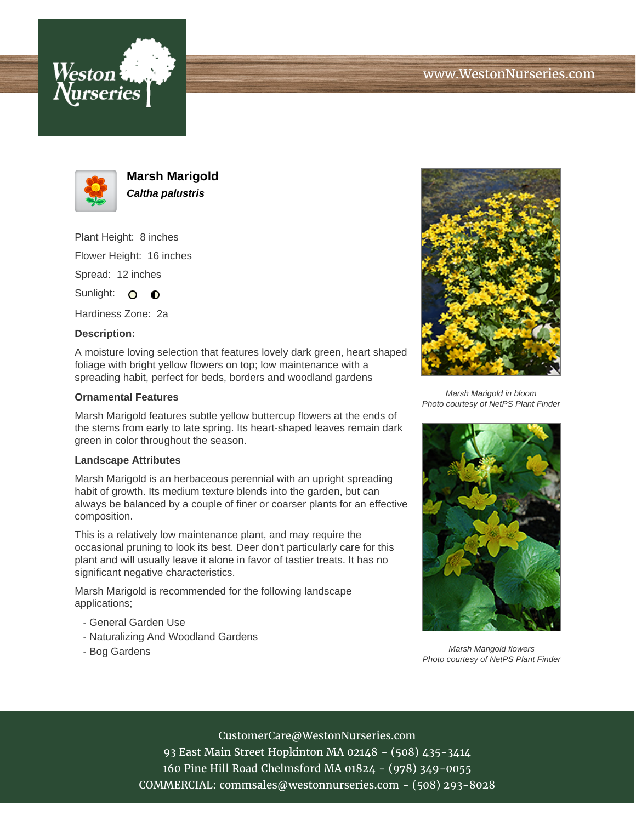





**Marsh Marigold Caltha palustris**

Plant Height: 8 inches Flower Height: 16 inches Spread: 12 inches

Sunlight: O  $\bullet$ 

Hardiness Zone: 2a

## **Description:**

A moisture loving selection that features lovely dark green, heart shaped foliage with bright yellow flowers on top; low maintenance with a spreading habit, perfect for beds, borders and woodland gardens

## **Ornamental Features**

Marsh Marigold features subtle yellow buttercup flowers at the ends of the stems from early to late spring. Its heart-shaped leaves remain dark green in color throughout the season.

## **Landscape Attributes**

Marsh Marigold is an herbaceous perennial with an upright spreading habit of growth. Its medium texture blends into the garden, but can always be balanced by a couple of finer or coarser plants for an effective composition.

This is a relatively low maintenance plant, and may require the occasional pruning to look its best. Deer don't particularly care for this plant and will usually leave it alone in favor of tastier treats. It has no significant negative characteristics.

Marsh Marigold is recommended for the following landscape applications;

- General Garden Use
- Naturalizing And Woodland Gardens
- Bog Gardens



Marsh Marigold in bloom Photo courtesy of NetPS Plant Finder



Marsh Marigold flowers Photo courtesy of NetPS Plant Finder

CustomerCare@WestonNurseries.com

93 East Main Street Hopkinton MA 02148 - (508) 435-3414 160 Pine Hill Road Chelmsford MA 01824 - (978) 349-0055 COMMERCIAL: commsales@westonnurseries.com - (508) 293-8028